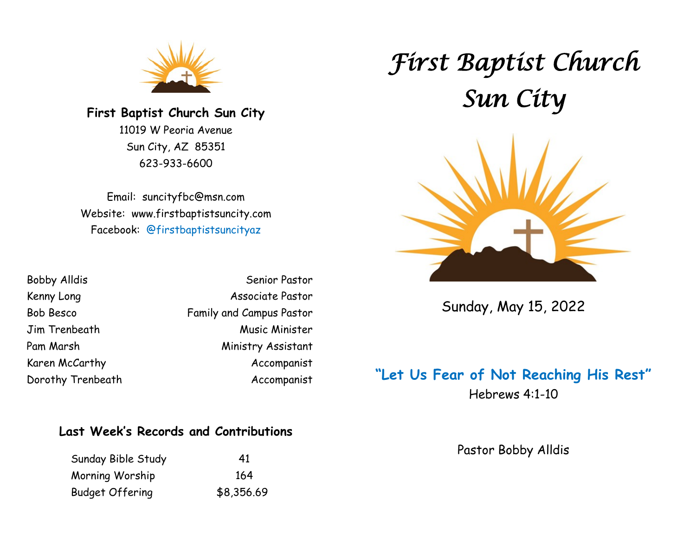

**First Baptist Church Sun City** 11019 W Peoria Avenue Sun City, AZ 85351 623-933-6600

Email: suncityfbc@msn.com Website: www.firstbaptistsuncity.com Facebook: @firstbaptistsuncityaz

| <b>Bobby Alldis</b> | Senior Pastor            |
|---------------------|--------------------------|
| Kenny Long          | Associate Pastor         |
| <b>Bob Besco</b>    | Family and Campus Pastor |
| Jim Trenbeath       | Music Minister           |
| Pam Marsh           | Ministry Assistant       |
| Karen McCarthy      | Accompanist              |
| Dorothy Trenbeath   | Accompanist              |

### **Last Week's Records and Contributions**

| Sunday Bible Study     | 41         |
|------------------------|------------|
| Morning Worship        | 164        |
| <b>Budget Offering</b> | \$8,356.69 |

*First Baptist Church Sun City* 



Sunday, May 15, 2022

# **"Let Us Fear of Not Reaching His Rest"**

Hebrews 4:1-10

### Pastor Bobby Alldis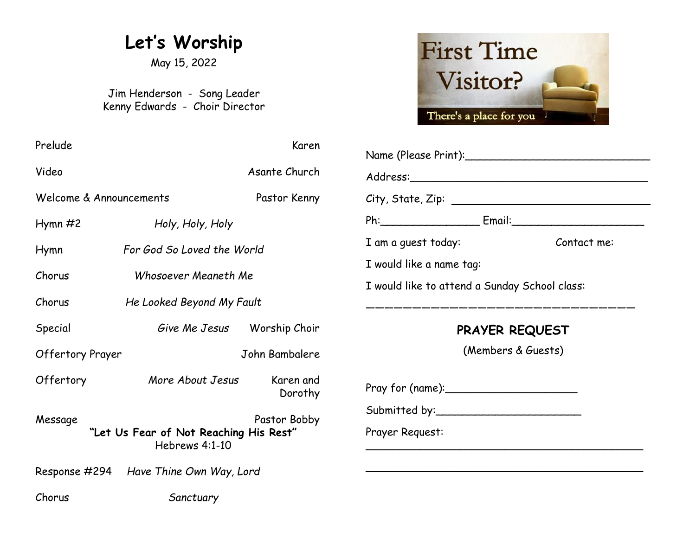# **Let's Worship**

May 15, 2022

Jim Henderson - Song Leader Kenny Edwards - Choir Director

| Prelude                                                  |                                        | Karen                    |                                               |             |  |
|----------------------------------------------------------|----------------------------------------|--------------------------|-----------------------------------------------|-------------|--|
| Video                                                    |                                        | Asante Church            |                                               |             |  |
| Welcome & Announcements<br>Pastor Kenny                  |                                        |                          |                                               |             |  |
| $Hymn \#2$                                               | Holy, Holy, Holy                       |                          | Ph: Email: Email:                             |             |  |
| Hymn                                                     | For God So Loved the World             |                          | I am a guest today:                           | Contact me: |  |
| Chorus                                                   |                                        | I would like a name tag: |                                               |             |  |
|                                                          | Whosoever Meaneth Me                   |                          | I would like to attend a Sunday School class: |             |  |
| Chorus                                                   | He Looked Beyond My Fault              |                          |                                               |             |  |
| Special                                                  | Give Me Jesus Worship Choir            |                          | <b>PRAYER REQUEST</b>                         |             |  |
| <b>Offertory Prayer</b>                                  |                                        | John Bambalere           | (Members & Guests)                            |             |  |
| Offertory                                                | More About Jesus                       | Karen and<br>Dorothy     |                                               |             |  |
| Message                                                  |                                        | Pastor Bobby             |                                               |             |  |
| "Let Us Fear of Not Reaching His Rest"<br>Hebrews 4:1-10 |                                        | Prayer Request:          |                                               |             |  |
|                                                          | Response #294 Have Thine Own Way, Lord |                          |                                               |             |  |
| Chorus                                                   | Sanctuary                              |                          |                                               |             |  |



| Name (Please Print):                          |             |  |  |  |  |
|-----------------------------------------------|-------------|--|--|--|--|
|                                               |             |  |  |  |  |
|                                               |             |  |  |  |  |
|                                               |             |  |  |  |  |
| I am a guest today:                           | Contact me: |  |  |  |  |
| I would like a name tag:                      |             |  |  |  |  |
| I would like to attend a Sunday School class: |             |  |  |  |  |
| __________________                            |             |  |  |  |  |
| <b>PRAYER REQUEST</b>                         |             |  |  |  |  |
| (Members & Guests)                            |             |  |  |  |  |
|                                               |             |  |  |  |  |
|                                               |             |  |  |  |  |
|                                               |             |  |  |  |  |
| Prayer Request:                               |             |  |  |  |  |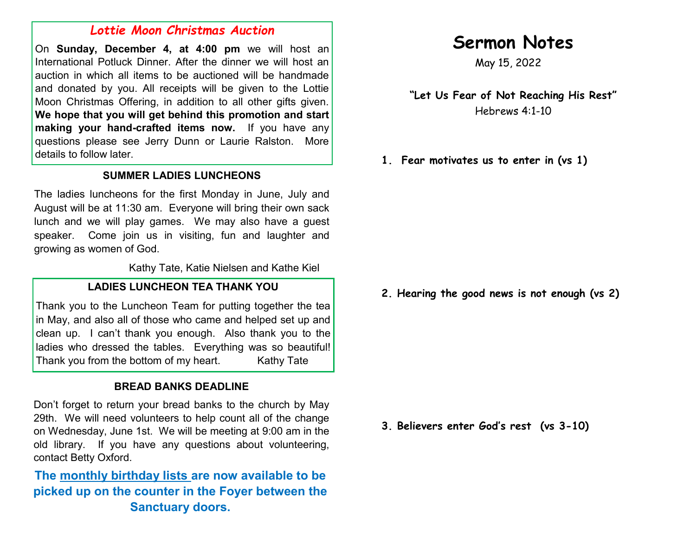### *Lottie Moon Christmas Auction*

On **Sunday, December 4, at 4:00 pm** we will host an International Potluck Dinner. After the dinner we will host an auction in which all items to be auctioned will be handmade and donated by you. All receipts will be given to the Lottie Moon Christmas Offering, in addition to all other gifts given. **We hope that you will get behind this promotion and start making your hand-crafted items now.** If you have any questions please see Jerry Dunn or Laurie Ralston. More details to follow later.

### **SUMMER LADIES LUNCHEONS**

The ladies luncheons for the first Monday in June, July and August will be at 11:30 am. Everyone will bring their own sack lunch and we will play games. We may also have a guest speaker. Come join us in visiting, fun and laughter and growing as women of God.

Kathy Tate, Katie Nielsen and Kathe Kiel

#### **LADIES LUNCHEON TEA THANK YOU**

Thank you to the Luncheon Team for putting together the tea in May, and also all of those who came and helped set up and clean up. I can't thank you enough. Also thank you to the ladies who dressed the tables. Everything was so beautiful! Thank you from the bottom of my heart. Kathy Tate

### **BREAD BANKS DEADLINE**

Don't forget to return your bread banks to the church by May 29th. We will need volunteers to help count all of the change on Wednesday, June 1st. We will be meeting at 9:00 am in the old library. If you have any questions about volunteering, contact Betty Oxford.

**The monthly birthday lists are now available to be picked up on the counter in the Foyer between the Sanctuary doors.**

# **Sermon Notes**

May 15, 2022

**"Let Us Fear of Not Reaching His Rest"** Hebrews 4:1-10

**1. Fear motivates us to enter in (vs 1)**

**2. Hearing the good news is not enough (vs 2)**

**3. Believers enter God's rest (vs 3-10)**